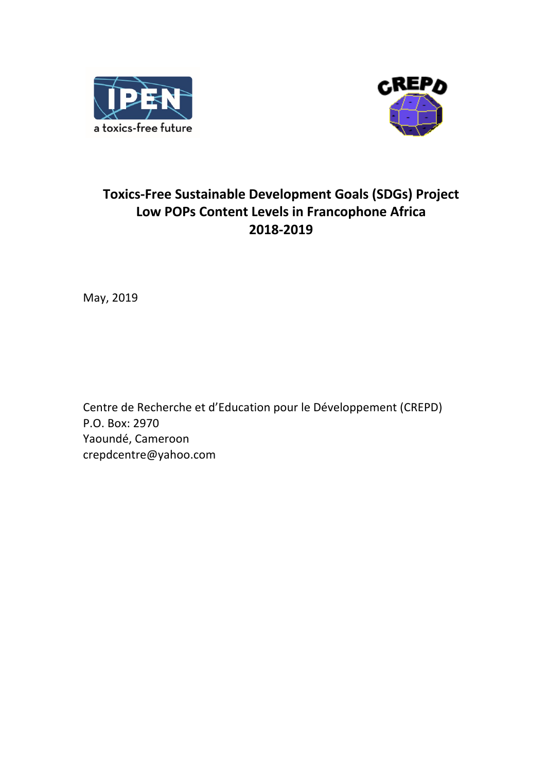



# **Toxics-Free Sustainable Development Goals (SDGs) Project Low POPs Content Levels in Francophone Africa 2018-2019**

May, 2019

Centre de Recherche et d'Education pour le Développement (CREPD) P.O. Box: 2970 Yaoundé, Cameroon crepdcentre@yahoo.com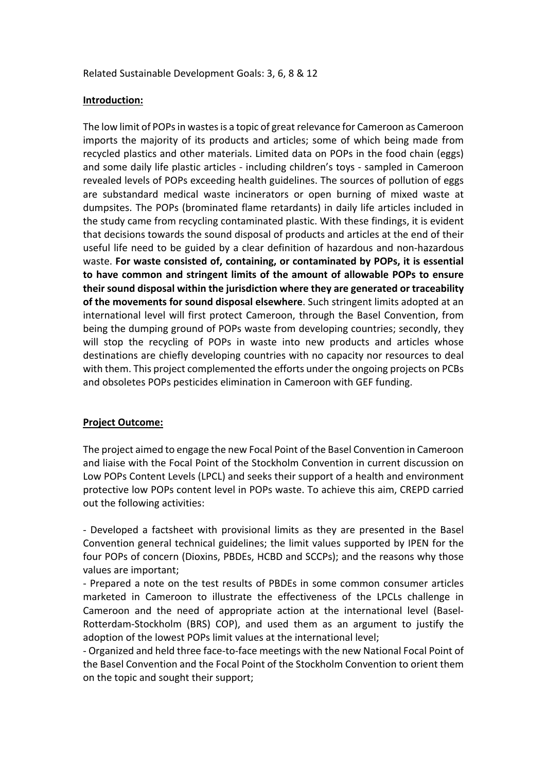#### Related Sustainable Development Goals: 3, 6, 8 & 12

#### **Introduction:**

The low limit of POPs in wastes is a topic of great relevance for Cameroon as Cameroon imports the majority of its products and articles; some of which being made from recycled plastics and other materials. Limited data on POPs in the food chain (eggs) and some daily life plastic articles - including children's toys - sampled in Cameroon revealed levels of POPs exceeding health guidelines. The sources of pollution of eggs are substandard medical waste incinerators or open burning of mixed waste at dumpsites. The POPs (brominated flame retardants) in daily life articles included in the study came from recycling contaminated plastic. With these findings, it is evident that decisions towards the sound disposal of products and articles at the end of their useful life need to be guided by a clear definition of hazardous and non-hazardous waste. **For waste consisted of, containing, or contaminated by POPs, it is essential to have common and stringent limits of the amount of allowable POPs to ensure their sound disposal within the jurisdiction where they are generated or traceability of the movements for sound disposal elsewhere**. Such stringent limits adopted at an international level will first protect Cameroon, through the Basel Convention, from being the dumping ground of POPs waste from developing countries; secondly, they will stop the recycling of POPs in waste into new products and articles whose destinations are chiefly developing countries with no capacity nor resources to deal with them. This project complemented the efforts under the ongoing projects on PCBs and obsoletes POPs pesticides elimination in Cameroon with GEF funding.

## **Project Outcome:**

The project aimed to engage the new Focal Point of the Basel Convention in Cameroon and liaise with the Focal Point of the Stockholm Convention in current discussion on Low POPs Content Levels (LPCL) and seeks their support of a health and environment protective low POPs content level in POPs waste. To achieve this aim, CREPD carried out the following activities:

- Developed a factsheet with provisional limits as they are presented in the Basel Convention general technical guidelines; the limit values supported by IPEN for the four POPs of concern (Dioxins, PBDEs, HCBD and SCCPs); and the reasons why those values are important;

- Prepared a note on the test results of PBDEs in some common consumer articles marketed in Cameroon to illustrate the effectiveness of the LPCLs challenge in Cameroon and the need of appropriate action at the international level (Basel-Rotterdam-Stockholm (BRS) COP), and used them as an argument to justify the adoption of the lowest POPs limit values at the international level;

- Organized and held three face-to-face meetings with the new National Focal Point of the Basel Convention and the Focal Point of the Stockholm Convention to orient them on the topic and sought their support;